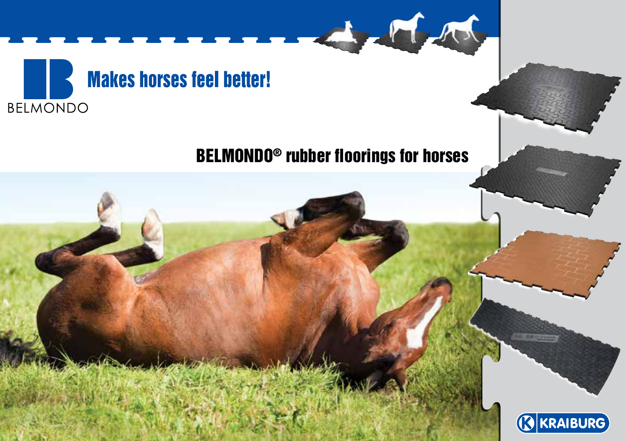

# Belmondo® rubber floorings for horses

A

M

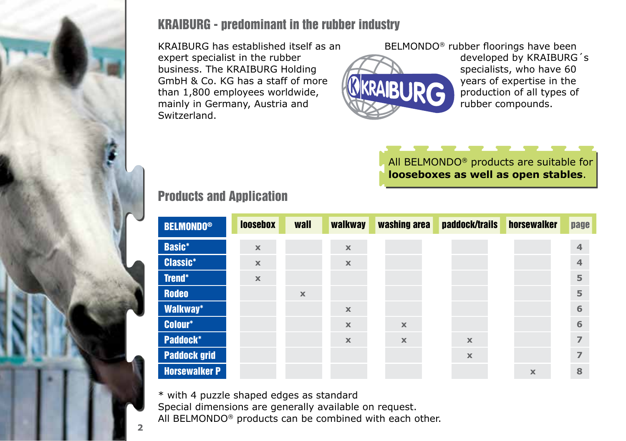

### KRAIBURG - predominant in the rubber industry

KRAIBURG has established itself as an expert specialist in the rubber business. The KRAIBURG Holding GmbH & Co. KG has a staff of more than 1,800 employees worldwide, mainly in Germany, Austria and Switzerland.



BELMONDO® rubber floorings have been developed by KRAIBURG´s specialists, who have 60 years of expertise in the production of all types of rubber compounds.

#### All BELMONDO<sup>®</sup> products are suitable for **looseboxes as well as open stables**.

## Products and Application

| <b>BELMONDO®</b>     | <b>loosebox</b> | wall        | walkway     | washing area              | paddock/trails            | horsewalker | page            |
|----------------------|-----------------|-------------|-------------|---------------------------|---------------------------|-------------|-----------------|
| <b>Basic*</b>        | $\mathbf x$     |             | $\mathbf x$ |                           |                           |             | $\overline{4}$  |
| <b>Classic*</b>      | $\mathbf x$     |             | $\mathbb X$ |                           |                           |             | $\overline{4}$  |
| Trend*               | $\mathbf x$     |             |             |                           |                           |             | 5               |
| <b>Rodeo</b>         |                 | $\mathbf x$ |             |                           |                           |             | 5               |
| Walkway*             |                 |             | $\mathbf x$ |                           |                           |             | $6\phantom{1}6$ |
| Colour*              |                 |             | $\mathbf x$ | $\boldsymbol{\mathsf{x}}$ |                           |             | 6               |
| <b>Paddock*</b>      |                 |             | $\mathbf x$ | $\mathbf x$               | $\mathbf x$               |             | $\overline{7}$  |
| <b>Paddock grid</b>  |                 |             |             |                           | $\boldsymbol{\mathsf{x}}$ |             | $\overline{7}$  |
| <b>Horsewalker P</b> |                 |             |             |                           |                           | $\mathbf x$ | 8               |

\* with 4 puzzle shaped edges as standard Special dimensions are generally available on request.

All BELMONDO® products can be combined with each other.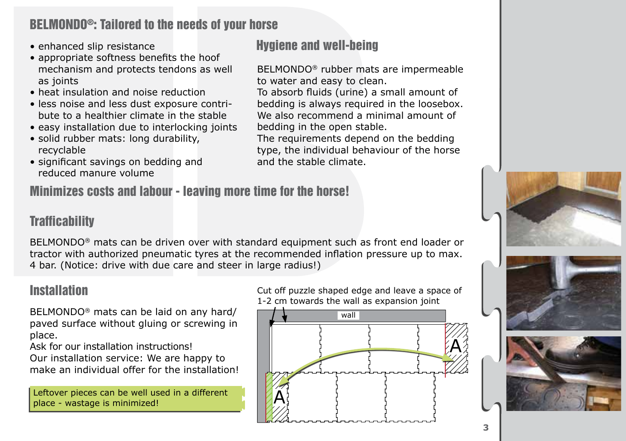## BELMONDO®: Tailored to the needs of your horse

- enhanced slip resistance
- appropriate softness benefits the hoof mechanism and protects tendons as well as joints
- heat insulation and noise reduction
- less noise and less dust exposure contribute to a healthier climate in the stable
- easy installation due to interlocking joints
- solid rubber mats: long durability, recyclable
- significant savings on bedding and reduced manure volume

Minimizes costs and labour - leaving more time for the horse!

## Hygiene and well-being

BELMONDO® rubber mats are impermeable to water and easy to clean.

To absorb fluids (urine) a small amount of bedding is always required in the loosebox. We also recommend a minimal amount of bedding in the open stable.

The requirements depend on the bedding type, the individual behaviour of the horse and the stable climate.

## **Trafficability**

BELMONDO® mats can be driven over with standard equipment such as front end loader or tractor with authorized pneumatic tyres at the recommended inflation pressure up to max. 4 bar. (Notice: drive with due care and steer in large radius!)

### **Installation**

BELMONDO® mats can be laid on any hard/ paved surface without gluing or screwing in place.

Ask for our installation instructions! Our installation service: We are happy to make an individual offer for the installation!

Leftover pieces can be well used in a different place - wastage is minimized!









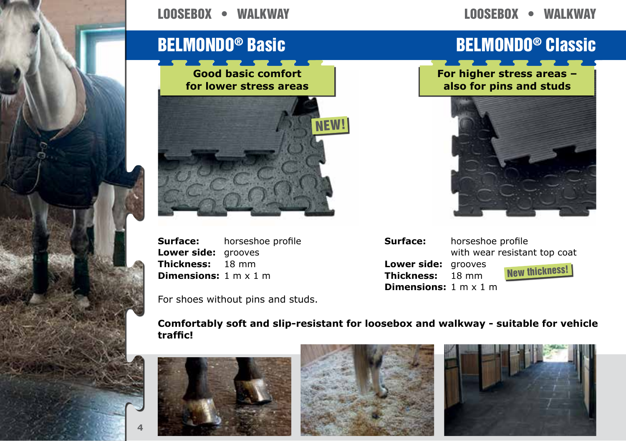#### looseBox • walkway

## looseBox • walkway



**Surface:** horseshoe profile **Lower side:** grooves **Thickness:** 18 mm **Dimensions:** 1 m x 1 m

For shoes without pins and studs.

# BELMONDO® Basic Belmondo® Classic

**For higher stress areas – also for pins and studs**



**Surface:** horseshoe profile **Lower side:** grooves<br>**Thickness:** 18 mm **Thickness: Dimensions:** 1 m x 1 m



**Comfortably soft and slip-resistant for loosebox and walkway - suitable for vehicle traffic!**



**4**



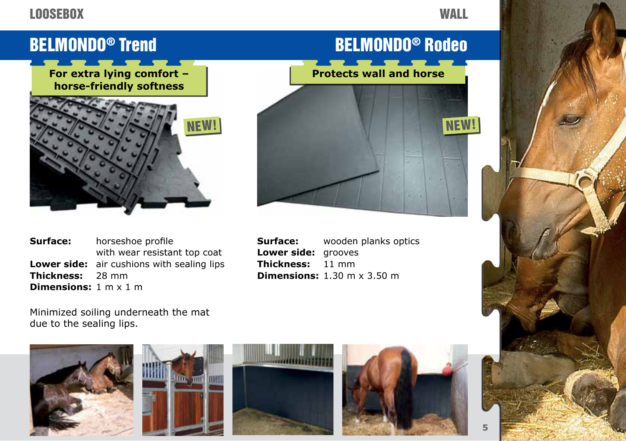#### **LOOSEBOX**

#### **WALL**

For extra lying comfort – **Protects wall and horse horse-friendly softness**



**Surface:** horseshoe profile with wear resistant top coat **Lower side:** air cushions with sealing lips **Thickness:** 28 mm **Dimensions:** 1 m x 1 m





**Surface:** wooden planks optics **Lower side:** grooves **Thickness:** 11 mm **Dimensions:** 1.30 m x 3.50 m

Minimized soiling underneath the mat due to the sealing lips.









**5**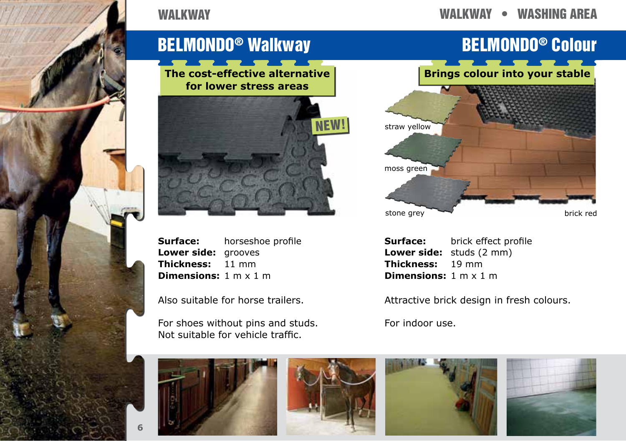

#### WAI KWAY

#### walkway • WAshing area

## BELMONDO® Walkway BELMONDO® Colour

**The cost-effective alternative for lower stress areas**



**Surface:** horseshoe profile **Lower side:** grooves **Thickness:** 11 mm **Dimensions:** 1 m x 1 m

Also suitable for horse trailers.

For shoes without pins and studs. Not suitable for vehicle traffic.





**Surface:** brick effect profile **Lower side:** studs (2 mm) **Thickness:** 19 mm **Dimensions:** 1 m x 1 m

Attractive brick design in fresh colours.

For indoor use.









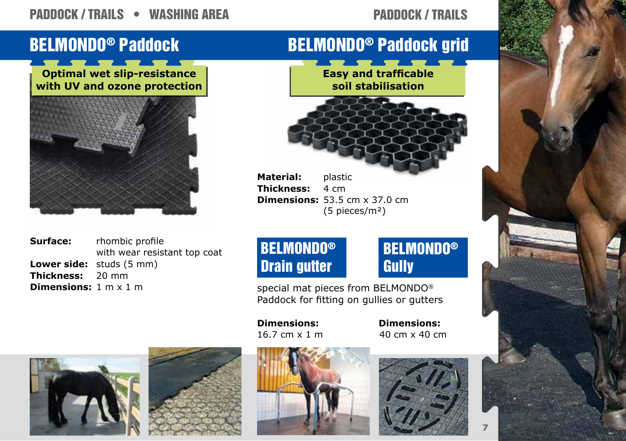## PADDOCK / TRAILS • WASHING AREA

#### Paddock / trails





**Surface:** rhombic profile with wear resistant top coat **Lower side:** studs (5 mm)<br>**Thickness:** 20 mm **Thickness: Dimensions:** 1 m x 1 m

# BELMONDO® Paddock BELMONDO® Paddock grid

**Easy and trafficable soil stabilisation**

**Material:** plastic **Thickness:** 4 cm **Dimensions:** 53.5 cm x 37.0 cm (5 pieces/m²)

## BELMONDO® **Gully**

special mat pieces from BELMONDO® Paddock for fitting on gullies or gutters

**Dimensions:** 16.7 cm x 1 m

BELMONDO® Drain gutter

> 40 cm x 40 cm **Dimensions:**









**7**